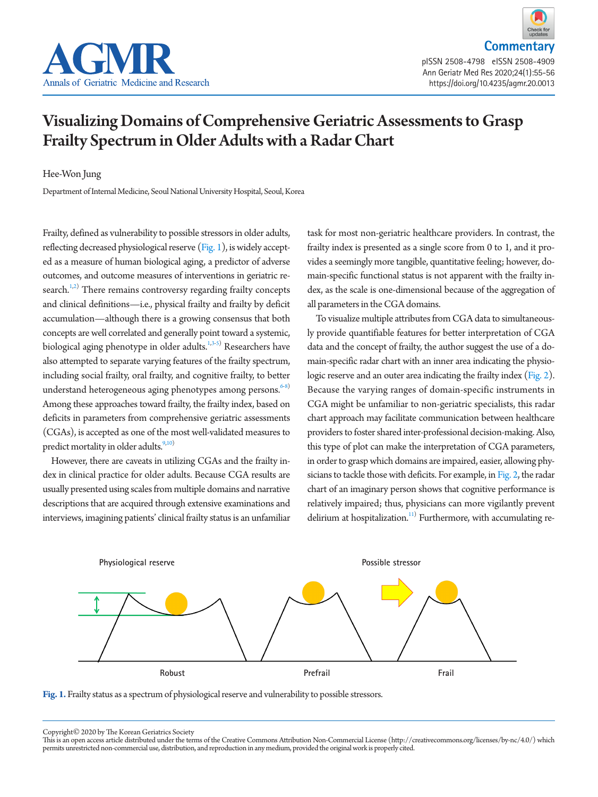



## Visualizing Domains of Comprehensive Geriatric Assessments to Grasp Frailty Spectrum in Older Adults with a Radar Chart

Hee-Won Jung

Department of Internal Medicine, Seoul National University Hospital, Seoul, Korea

Frailty, defined as vulnerability to possible stressors in older adults, reflecting decreased physiological reserve [\(Fig. 1\)](#page-0-0), is widely accepted as a measure of human biological aging, a predictor of adverse outcomes, and outcome measures of interventions in geriatric research. $1,2)$  $1,2)$  $1,2)$  There remains controversy regarding frailty concepts and clinical definitions—i.e., physical frailty and frailty by deficit accumulation—although there is a growing consensus that both concepts are well correlated and generally point toward a systemic, biological aging phenotype in older adults.<sup>[1](#page-1-0),[3](#page-1-2)[-5](#page-1-3))</sup> Researchers have also attempted to separate varying features of the frailty spectrum, including social frailty, oral frailty, and cognitive frailty, to better understand heterogeneous aging phenotypes among persons.<sup>6-[8\)](#page-1-5)</sup> Among these approaches toward frailty, the frailty index, based on deficits in parameters from comprehensive geriatric assessments (CGAs), is accepted as one of the most well-validated measures to predict mortality in older adults.<sup>9[,10\)](#page-1-7)</sup>

However, there are caveats in utilizing CGAs and the frailty index in clinical practice for older adults. Because CGA results are usually presented using scales from multiple domains and narrative descriptions that are acquired through extensive examinations and interviews, imagining patients' clinical frailty status is an unfamiliar

task for most non-geriatric healthcare providers. In contrast, the frailty index is presented as a single score from 0 to 1, and it provides a seemingly more tangible, quantitative feeling; however, domain-specific functional status is not apparent with the frailty index, as the scale is one-dimensional because of the aggregation of all parameters in the CGA domains.

To visualize multiple attributes from CGA data to simultaneously provide quantifiable features for better interpretation of CGA data and the concept of frailty, the author suggest the use of a domain-specific radar chart with an inner area indicating the physiologic reserve and an outer area indicating the frailty index [\(Fig. 2\)](#page-1-8). Because the varying ranges of domain-specific instruments in CGA might be unfamiliar to non-geriatric specialists, this radar chart approach may facilitate communication between healthcare providers to foster shared inter-professional decision-making. Also, this type of plot can make the interpretation of CGA parameters, in order to grasp which domains are impaired, easier, allowing physicians to tackle those with deficits. For example, in [Fig. 2,](#page-1-8) the radar chart of an imaginary person shows that cognitive performance is relatively impaired; thus, physicians can more vigilantly prevent delirium at hospitalization.<sup>11)</sup> Furthermore, with accumulating re-

<span id="page-0-0"></span>

Fig. 1. Frailty status as a spectrum of physiological reserve and vulnerability to possible stressors.

Copyright© 2020 by The Korean Geriatrics Society

This is an open access article distributed under the terms of the Creative Commons Attribution Non-Commercial License (http://creativecommons.org/licenses/by-nc/4.0/) which permits unrestricted non-commercial use, distribution, and reproduction in any medium, provided the original work is properly cited.